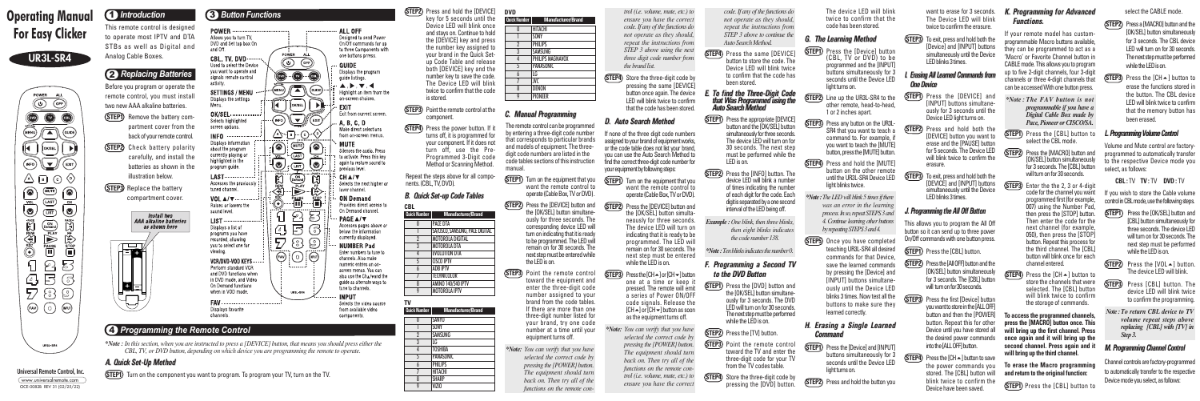select the CABLE mode.

**(STEP2)** Press a [MACRO] button and the [OK/SEL] button simultaneously for 3 seconds. The CBL device LED will turn on for 30 seconds. The next step must be performed while the LED is on.

**(STEP3)** Press the  $[CH \rightarrow]$  button to erase the functions stored in the button. The CBL device LED will blink twice to confirm that the memory button has been erased.

#### **L. Programming Volume Control**

If you wish to store the Cable volume control in CBL mode, use the following steps.

while the LED is on.

**(STEP1)** Press the [OK/SEL] button and [CBL] button simultaneously for three seconds. The device LED will turn on for 30 seconds. The next step must be performed

Volume and Mute control are factoryprogrammed to automatically transfer to the respective Device mode you select, as follows:

**CBL :** TV **TV :** TV **DVD :** TV

**(STEP2)** Line up the UR3L-SR4 to the other remote, head-to-head, 1 or 2 inches apart.

**(STEP3)** Press any button on the UR3L-SR4 that you want to teach a command to. For example, if you want to teach the [MUTE] button, press the [MUTE] button.

**(STEP4)** Press and hold the [MUTE] button on the other remote until the UR3L-SR4 Device LED light blinks twice.



The device LED will blink.

device LED will blink twice to confirm the programming.

- **STEP3** Press [CBL] button. The
- *Note :To return CBL device to TV Step 3.*

*volume repeat steps above replacing [CBL] with [TV] in*

# **M. Programming Channel Control**

Channel controls are factory-programmed to automatically transfer to the respective Device mode you select, as follows:



The device LED will blink twice to confirm that the code has been stored.

#### **G. The Learning Method**

**(STEP1)** Press the [Device] button (CBL, TV or DVD) to be programmed and the [INPUT] buttons simultaneously for 3 seconds until the Device LED light turns on.

**STEP1** Press the [DVD] button and the [OK/SEL] button simultaneously for 3 seconds. The DVD LED will turn on for 30 seconds. The next step must be performed while the LED is on.

**(STEP4)** Store the three-digit code by pressing the [DVD] button.

*\*Note:TheLEDwill blink 5 timesifthere was an error in the learning process.Inso,repeatSTEPS3and 4.Continue learning other buttons byrepeatingSTEPS3and4.*

**STEP5** Once you have completed teaching UR3L-SR4 all desired commands for that Device, save the learned commands by pressing the [Device] and [INPUT] buttons simultaneously until the Device LED blinks 3 times. Now test all the buttons to make sure they learned correctly.

**(STEP4)** Press the power button. If it turns off, it is programmed for

your component. If it does not turn off, use the Pre-Programmed 3-Digit code Method or Scanning Method.

> Repeat the steps above for all components. (CBL, TV, DVD).

#### **H. Erasing <sup>a</sup> Single Learned Command**

**(STEP1)** Press the [Device] and [INPUT] buttons simultaneously for 3 seconds until the Device LED light turns on.

**(STEP2)** Press and hold the button you

The remote control can be programme by entering a three-digit code number that corresponds to particular brands and models of equipment. The three digit code numbers are listed in the code tables sections of this instruction manual.

**(STEP1)** Turn on the equipment that you want the remote control to operate (Cable Box, TV or DVD).

**(STEP2)** Press the [DEVICE] button and the [OK/SEL] button simultaneously for three seconds. The corresponding device LED will turn on indicating that it is ready to be programmed. The LED will remain on for 30 seconds. The next step must be entered while the LED is on.

*code. If any of the functions do not operate as they should, repeat the instructions from STEP 3 above to continue the Auto Search Method.*

- **(STEP4)** Press the same [DEVICE] button to store the code. The Device LED will blink twice to confirm that the code has been stored.
- **E. To find the Three-Digit Code that Was Programmed using the Auto Search Method**
- **(STEP1)** Press the appropriate [DEVICE] button and the [OK/SEL] button simultaneously for three seconds. The device LEDwill turn on for 30 seconds. The next step must be performed while the LEDis on.
- **STEP2** Press the [INFO] button. The device LED will blink a number of times indicating the number of each digit for the code. Each digit is separated by a one second interval of the LED being off.

- **(STEP3)** Point the remote control toward the equipment and enter the three-digit code number assigned to your brand from the code tables. If there are more than one three-digit number listed for your brand, try one code number at a time until your equipment turns off.
- *\*Note: You can verify that you have selected the correct code by pressing the [POWER] button. The equipment should turn back on. Then try all of the functions on the remote con-*

want to erase for 3 seconds. The Device LED will blink twice to confirm the erasure.

**(STEP3)** To exit, press and hold both the [Device] and [INPUT] buttons simultaneously until the Device LED blinks 3 times.

#### **I. ErasingAll Learned Commands from One Device**

This allows you to program the All Off button so it can send up to three power On/Off commands with one button press.

- **(STEP1)** Press the [CBL] button.
- **(STEP2)** Press the [All OFF] button and the [OK/SEL] button simultaneously for 3 seconds. The [CBL] button will turn on for 30 seconds.
- **(STEP3)** Press the first [Device] button you want to store in the [ALL OFF] button and then the [POWER] button. Repeat this for other Device until you have stored all the desired power commands into the [ALL OFF] button.

*Example :One blink, then three blinks, then eight blinks indicates the code number 138.*

*\*Note:Tenblinksindicatesthenumber0.*

#### **F. Programming <sup>a</sup> Second TV to the DVD Button**

**STEP4** Press the  $ICH \triangle 1$  button to save the power commands you stored. The [CBL] button will blink twice to confirm the Device have been saved.

If your remote model has customprogrammable Macro buttons available, they can be programmed to act as a 'Macro' or Favorite Channel button in CABLE mode. This allows you to program up to five 2-digit channels, four 3-digit channels or three 4-digit channels that can be accessed With one button press.



- *\*Note : The FAV button is not programmable if you have a Digital Cable Box made by Pace, Pioneer or CISCO/SA.*
- **STEP1** Press the [CBL] button to select the CBL mode.
- **(STEP2)** Press the [MACRO] button and [OK/SEL] button simultaneously for 3 seconds. The [CBL] button will turn on for 30 seconds.

**(STEP3)** Enter the the 2, 3 or 4-digit code for the channel you want programmed first (for example, 007) using the Number Pad, then press the [STOP] button. Then enter the code for the next channel (for example, 050), then press the [STOP] button. Repeat this process for the third channel. The [CBL] button will blink once for each channel entered.

**STEP3** Point the remote control toward the TV and enter the three-digit code for your TV from the TV codes table.

key for 5 seconds until the Device LED will blink once and stays on. Continue to hold the [DEVICE] key and press the number key assigned to your brand in the Quick Setup Code Table and release both [DEVICE] key and the number key to save the code. The Device LED will blink twice to confirm that the code is stored.

> **STEP4**) Press the [CH $\blacktriangle$ ] button to store the channels that were selected. The [CBL] button will blink twice to confirm the storage of commands.



If none of the three digit code numbers assigned to your brand of equipment works. or the code table does not list your brand, you can use the Auto Search Method to find the correct three-digit code number for your equipment by following steps:

**(STEP1)** Turn on the equipment that you want the remote control to operate (Cable Box, TV or DVD).

## **B. Quick Set-up Code Tables**

#### **C. Manual Programming**

**(STEP2)** Press the [DEVICE] button and the [OK/SEL] button simultaneously for three seconds. The device LED will turn on indicating that it is ready to be programmed. The LED will remain on for 30 seconds. The next step must be entered

**STEP3** Press the [CH  $\rightarrow$  ] or [CH  $\rightarrow$  ] button one at a time or keep it pressed. The remote will emit a series of Power ON/OFF code signals. Release the  $[CH\rightarrow]$  or  $[CH\rightarrow]$  button as soon as the equipment turns off.

- **(STEP1)** Remove the battery compartment cover from the back of your remote control.
- **STEP2** Check battery polarity carefully, and install the batteries as shown in the illustration below.
- **STEP3** Replace the battery compartment cover.



\*Note: In this section, when you are instructed to press a [DEVICE] button, that means you should press either the *CBL, TV, or DVD button, depending on which device you are programming the remote to operate.*

- **STEP1** Press the [DEVICE] and [INPUT] buttons simultaneously for 3 seconds until the Device LED light turns on.
- **STEP2** Press and hold both the [DEVICE] button you want to erase and the [PAUSE] button for 5 seconds. The Device LED will blink twice to confirm the erasure.

**(STEP3)** To exit, press and hold both the [DEVICE] and [INPUT] buttons simultaneously until the Device LED blinks 3 times.

#### **J. Programming the All Off Button**

#### **K. Programming for Advanced Functions.**

**To access the programmed channels, press the [MACRO] button once. This will bring up the first channel. Press once again and it will bring up the second channel. Press again and it will bring up the third channel.**

**To erase the Macro programming and return to the original function:**



*trol (i.e. volume, mute, etc.) to ensure you have the correct code. If any of the functions do not operate as they should, repeat the instructions from STEP 3 above using the next three digit code number from the brand list.*

**(STEP4)** Store the three-digit code by pressing the same [DEVICE] button once again. The device LED will blink twice to confirm that the code has been stored.

#### **D. Auto Search Method**





*\*Note: You can verify that you have selected the correct code by pressing the [POWER] button. The equipment should turn back on. Then try all of the functions on the remote control (i.e. volume, mute, etc.) to ensure you have the correct*

# 3 *Button Functions*



# **STEP2** Press and hold the **[DEVICE]**

# 4 *Programming the Remote Control*

**Universal Remote Control, Inc.** www.universalremote.com OCE-0082B REV 31 (02/25/22)

# **UR3L-SR4**



# **Operating Manual For Easy Clicker**

This remote control is designed to operate most IPTV and DTA STBs as well as Digital and Analog Cable Boxes.

# 1 *Introduction*

# 2 *Replacing Batteries*

Before you program or operate the remote control, you must install two new AAA alkaline batteries.

### **A. Quick Set-Up Method**

**STEP1** Turn on the component you want to program. To program your TV, turn on the TV.



| <b>Quick Number</b> | <b>Manufacturer/Brand</b>       |
|---------------------|---------------------------------|
|                     | <b>PACE DTA</b>                 |
|                     | SA/CISCO, SAMSUNG, PACE DIGITAL |
|                     | <b>MOTOROLA DIGITAL</b>         |
| 3                   | <b>MOTOROLA DTA</b>             |
|                     | <b>EVOLUTION DTA</b>            |
| 5                   | <b>CISCO IPTV</b>               |
| h                   | <b>ADB IPTV</b>                 |
| 7                   | <b>TECHNICOLOR</b>              |
| 8                   | AMINO 140/540 IPTV              |
|                     | <b>MOTOROLA IPTV</b>            |

**CBL**

0 SANYO 1 SONY 2 SAMSUNG 3 LG 4 TOSHIBA 5 PANASONIC 6 PHILIPS 7 HITACHI 8 SHARP 9 VIZIO **Quick Number Manufacturer/Brand TV**

| DVD                 |                           |
|---------------------|---------------------------|
| <b>Quick Number</b> | <b>Manufacturer/Brand</b> |
| N                   | <b>HITACHI</b>            |
|                     | <b>SONY</b>               |
| $\overline{2}$      | <b>PHILIPS</b>            |
| 3                   | <b>SAMSUNG</b>            |
| 4                   | PHILIPS MAGNAVOX          |
| 5                   | <b>PANASONIC</b>          |
| 6                   | l G                       |
| 7                   | <b>JVC</b>                |
| 8                   | DENON                     |
| Q                   | <b>PIONEER</b>            |